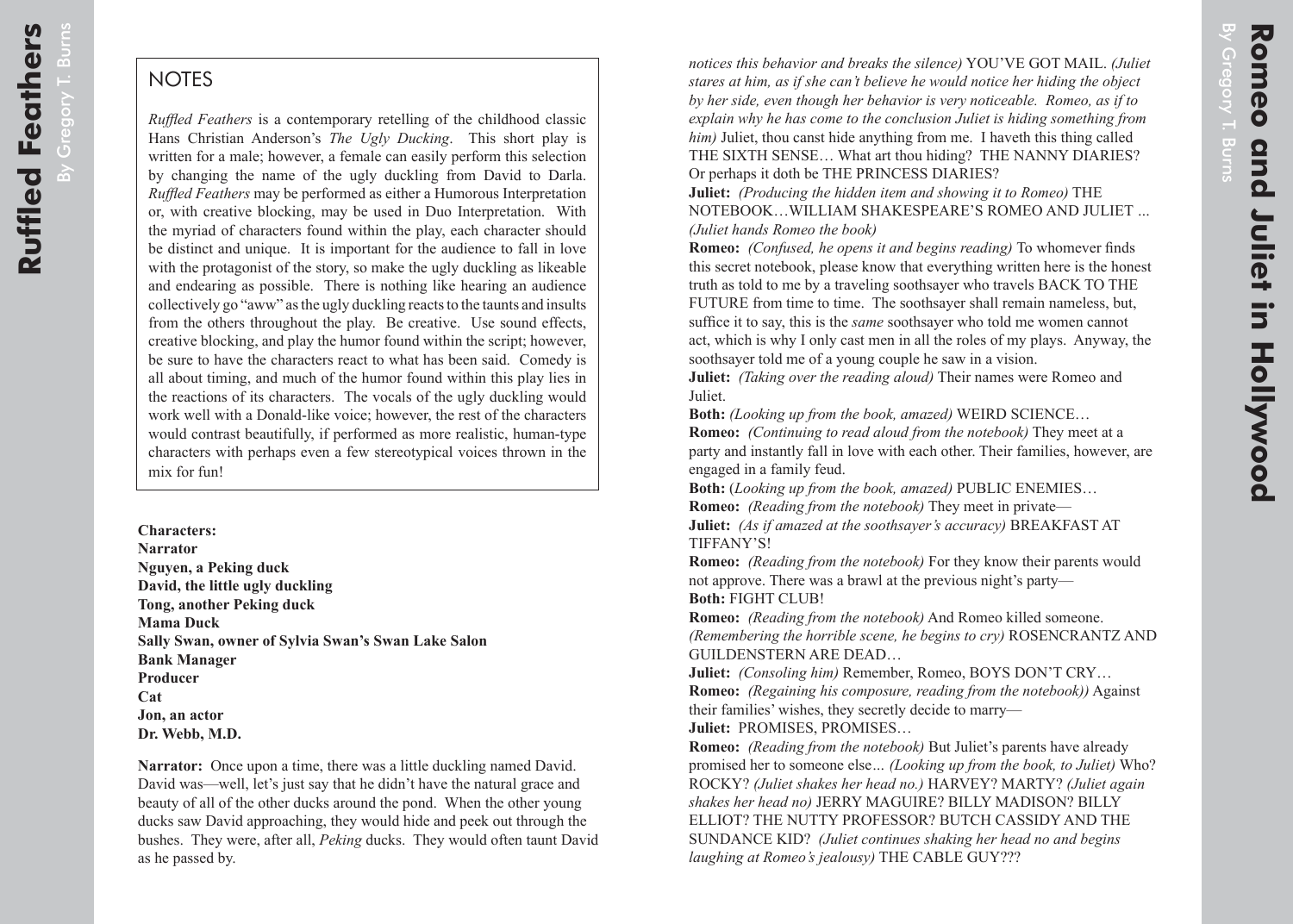## **NOTES**

*Ruffled Feathers* is a contemporary retelling of the childhood classic Hans Christian Anderson's *The Ugly Ducking*. This short play is written for a male; however, a female can easily perform this selection by changing the name of the ugly duckling from David to Darla. *Ruffled Feathers* may be performed as either a Humorous Interpretation or, with creative blocking, may be used in Duo Interpretation. With the myriad of characters found within the play, each character should be distinct and unique. It is important for the audience to fall in love with the protagonist of the story, so make the ugly duckling as likeable and endearing as possible. There is nothing like hearing an audience collectively go "aww" as the ugly duckling reacts to the taunts and insults from the others throughout the play. Be creative. Use sound effects, creative blocking, and play the humor found within the script; however, be sure to have the characters react to what has been said. Comedy is all about timing, and much of the humor found within this play lies in the reactions of its characters. The vocals of the ugly duckling would work well with a Donald-like voice; however, the rest of the characters would contrast beautifully, if performed as more realistic, human-type characters with perhaps even a few stereotypical voices thrown in the mix for fun!

**Characters: Narrator Nguyen, a Peking duck David, the little ugly duckling Tong, another Peking duck Mama Duck Sally Swan, owner of Sylvia Swan's Swan Lake Salon Bank Manager Producer Cat Jon, an actor Dr. Webb, M.D.**

**Narrator:** Once upon a time, there was a little duckling named David. David was—well, let's just say that he didn't have the natural grace and beauty of all of the other ducks around the pond. When the other young ducks saw David approaching, they would hide and peek out through the bushes. They were, after all, *Peking* ducks. They would often taunt David as he passed by.